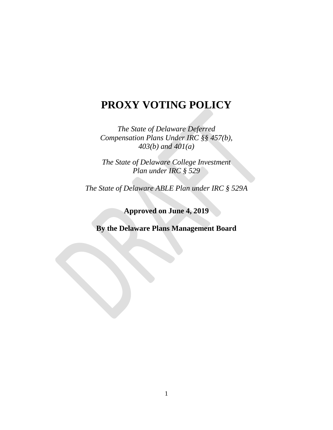# **PROXY VOTING POLICY**

*The State of Delaware Deferred Compensation Plans Under IRC §§ 457(b), 403(b) and 401(a)*

*The State of Delaware College Investment Plan under IRC § 529*

*The State of Delaware ABLE Plan under IRC § 529A*

**Approved on June 4, 2019**

**By the Delaware Plans Management Board**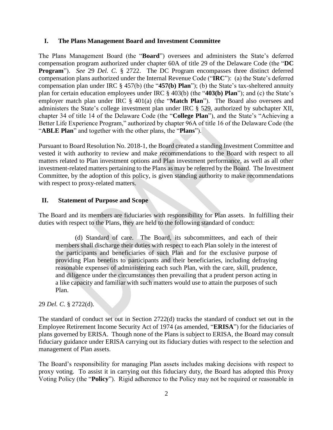#### **I. The Plans Management Board and Investment Committee**

The Plans Management Board (the "**Board**") oversees and administers the State's deferred compensation program authorized under chapter 60A of title 29 of the Delaware Code (the "**DC Program**"). *See* 29 *Del. C.* § 2722. The DC Program encompasses three distinct deferred compensation plans authorized under the Internal Revenue Code ("**IRC**"): (a) the State's deferred compensation plan under IRC § 457(b) (the "**457(b) Plan**"); (b) the State's tax-sheltered annuity plan for certain education employees under IRC § 403(b) (the "**403(b) Plan**"); and (c) the State's employer match plan under IRC § 401(a) (the "**Match Plan**"). The Board also oversees and administers the State's college investment plan under IRC § 529, authorized by subchapter XII, chapter 34 of title 14 of the Delaware Code (the "**College Plan**"), and the State's "Achieving a Better Life Experience Program," authorized by chapter 96A of title 16 of the Delaware Code (the "**ABLE Plan**" and together with the other plans, the "**Plans**").

Pursuant to Board Resolution No. 2018-1, the Board created a standing Investment Committee and vested it with authority to review and make recommendations to the Board with respect to all matters related to Plan investment options and Plan investment performance, as well as all other investment-related matters pertaining to the Plans as may be referred by the Board. The Investment Committee, by the adoption of this policy, is given standing authority to make recommendations with respect to proxy-related matters.

#### **II. Statement of Purpose and Scope**

The Board and its members are fiduciaries with responsibility for Plan assets. In fulfilling their duties with respect to the Plans, they are held to the following standard of conduct:

(d) Standard of care. The Board, its subcommittees, and each of their members shall discharge their duties with respect to each Plan solely in the interest of the participants and beneficiaries of such Plan and for the exclusive purpose of providing Plan benefits to participants and their beneficiaries, including defraying reasonable expenses of administering each such Plan, with the care, skill, prudence, and diligence under the circumstances then prevailing that a prudent person acting in a like capacity and familiar with such matters would use to attain the purposes of such Plan.

29 *Del. C.* § 2722(d).

The standard of conduct set out in Section 2722(d) tracks the standard of conduct set out in the Employee Retirement Income Security Act of 1974 (as amended, "**ERISA**") for the fiduciaries of plans governed by ERISA. Though none of the Plans is subject to ERISA, the Board may consult fiduciary guidance under ERISA carrying out its fiduciary duties with respect to the selection and management of Plan assets.

The Board's responsibility for managing Plan assets includes making decisions with respect to proxy voting. To assist it in carrying out this fiduciary duty, the Board has adopted this Proxy Voting Policy (the "**Policy**"). Rigid adherence to the Policy may not be required or reasonable in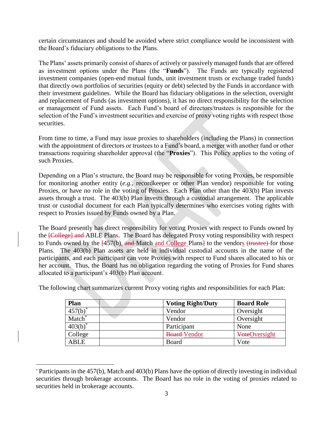certain circumstances and should be avoided where strict compliance would be inconsistent with the Board's fiduciary obligations to the Plans.

The Plans' assets primarily consist of shares of actively or passively managed funds that are offered as investment options under the Plans (the "**Funds**"). The Funds are typically registered investment companies (open-end mutual funds, unit investment trusts or exchange traded funds) that directly own portfolios of securities (equity or debt) selected by the Funds in accordance with their investment guidelines. While the Board has fiduciary obligations in the selection, oversight and replacement of Funds (as investment options), it has no direct responsibility for the selection or management of Fund assets. Each Fund's board of directors/trustees is responsible for the selection of the Fund's investment securities and exercise of proxy voting rights with respect those securities.

From time to time, a Fund may issue proxies to shareholders (including the Plans) in connection with the appointment of directors or trustees to a Fund's board, a merger with another fund or other transactions requiring shareholder approval (the "**Proxies**"). This Policy applies to the voting of such Proxies.

Depending on a Plan's structure, the Board may be responsible for voting Proxies, be responsible for monitoring another entity (*e.g.*, recordkeeper or other Plan vendor) responsible for voting Proxies, or have no role in the voting of Proxies. Each Plan other than the 403(b) Plan invests assets through a trust. The 403(b) Plan invests through a custodial arrangement. The applicable trust or custodial document for each Plan typically determines who exercises voting rights with respect to Proxies issued by Funds owned by a Plan.

The Board presently has direct responsibility for voting Proxies with respect to Funds owned by the **[College] and** ABLE Plans. The Board has delegated Proxy voting responsibility with respect to Funds owned by the  $\overline{457(b)}$ , and Match and College Plans to the vendors (trustee) for those Plans. The 403(b) Plan assets are held in individual custodial accounts in the name of the participants, and each participant can vote Proxies with respect to Fund shares allocated to his or her account. Thus, the Board has no obligation regarding the voting of Proxies for Fund shares allocated to a participant's 403(b) Plan account.

| Plan                  | <b>Voting Right/Duty</b> | <b>Board Role</b>    |
|-----------------------|--------------------------|----------------------|
| $457(b)^*$            | Vendor                   | Oversight            |
| Match <sup>*</sup>    | Vendor                   | Oversight            |
| $\overline{403(b)}^*$ | Participant              | None                 |
| College               | <b>Board-Vendor</b>      | <b>VoteOversight</b> |
| <b>ABLE</b>           | Board                    | Vote                 |

The following chart summarizes current Proxy voting rights and responsibilities for each Plan:

l

<sup>\*</sup> Participants in the 457(b), Match and 403(b) Plans have the option of directly investing in individual securities through brokerage accounts. The Board has no role in the voting of proxies related to securities held in brokerage accounts.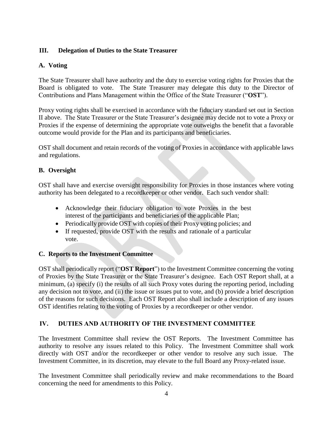## **III. Delegation of Duties to the State Treasurer**

#### **A. Voting**

The State Treasurer shall have authority and the duty to exercise voting rights for Proxies that the Board is obligated to vote. The State Treasurer may delegate this duty to the Director of Contributions and Plans Management within the Office of the State Treasurer ("**OST**").

Proxy voting rights shall be exercised in accordance with the fiduciary standard set out in Section II above. The State Treasurer or the State Treasurer's designee may decide not to vote a Proxy or Proxies if the expense of determining the appropriate vote outweighs the benefit that a favorable outcome would provide for the Plan and its participants and beneficiaries.

OST shall document and retain records of the voting of Proxies in accordance with applicable laws and regulations.

# **B. Oversight**

OST shall have and exercise oversight responsibility for Proxies in those instances where voting authority has been delegated to a recordkeeper or other vendor. Each such vendor shall:

- Acknowledge their fiduciary obligation to vote Proxies in the best interest of the participants and beneficiaries of the applicable Plan;
- Periodically provide OST with copies of their Proxy voting policies; and
- If requested, provide OST with the results and rationale of a particular vote.

# **C. Reports to the Investment Committee**

OST shall periodically report ("**OST Report**") to the Investment Committee concerning the voting of Proxies by the State Treasurer or the State Treasurer's designee. Each OST Report shall, at a minimum, (a) specify (i) the results of all such Proxy votes during the reporting period, including any decision not to vote, and (ii) the issue or issues put to vote, and (b) provide a brief description of the reasons for such decisions. Each OST Report also shall include a description of any issues OST identifies relating to the voting of Proxies by a recordkeeper or other vendor.

# **IV. DUTIES AND AUTHORITY OF THE INVESTMENT COMMITTEE**

The Investment Committee shall review the OST Reports. The Investment Committee has authority to resolve any issues related to this Policy. The Investment Committee shall work directly with OST and/or the recordkeeper or other vendor to resolve any such issue. The Investment Committee, in its discretion, may elevate to the full Board any Proxy-related issue.

The Investment Committee shall periodically review and make recommendations to the Board concerning the need for amendments to this Policy.